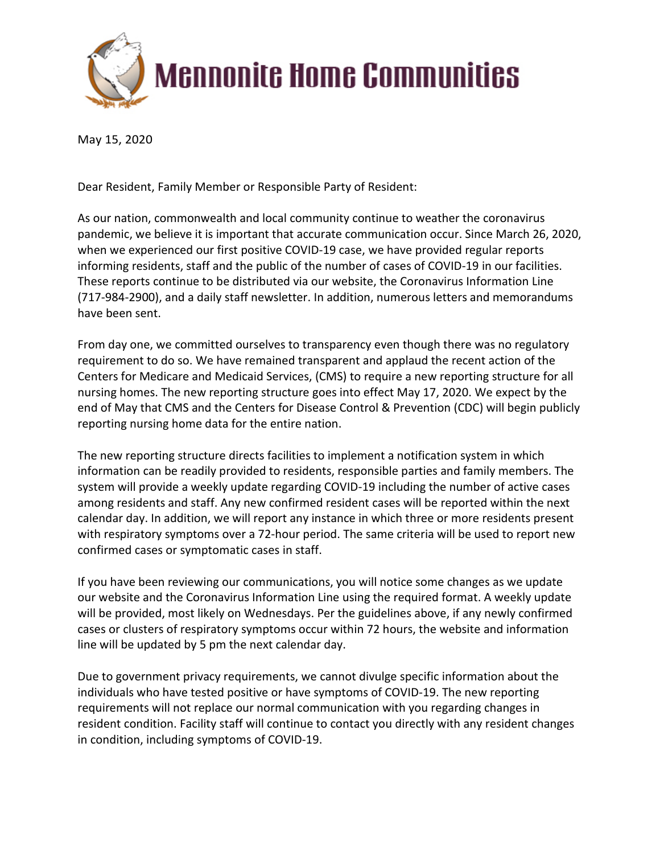

# **Mennonite Home Communities**

May 15, 2020

Dear Resident, Family Member or Responsible Party of Resident:

As our nation, commonwealth and local community continue to weather the coronavirus pandemic, we believe it is important that accurate communication occur. Since March 26, 2020, when we experienced our first positive COVID-19 case, we have provided regular reports informing residents, staff and the public of the number of cases of COVID-19 in our facilities. These reports continue to be distributed via our website, the Coronavirus Information Line (717-984-2900), and a daily staff newsletter. In addition, numerous letters and memorandums have been sent.

From day one, we committed ourselves to transparency even though there was no regulatory requirement to do so. We have remained transparent and applaud the recent action of the Centers for Medicare and Medicaid Services, (CMS) to require a new reporting structure for all nursing homes. The new reporting structure goes into effect May 17, 2020. We expect by the end of May that CMS and the Centers for Disease Control & Prevention (CDC) will begin publicly reporting nursing home data for the entire nation.

The new reporting structure directs facilities to implement a notification system in which information can be readily provided to residents, responsible parties and family members. The system will provide a weekly update regarding COVID-19 including the number of active cases among residents and staff. Any new confirmed resident cases will be reported within the next calendar day. In addition, we will report any instance in which three or more residents present with respiratory symptoms over a 72-hour period. The same criteria will be used to report new confirmed cases or symptomatic cases in staff.

If you have been reviewing our communications, you will notice some changes as we update our website and the Coronavirus Information Line using the required format. A weekly update will be provided, most likely on Wednesdays. Per the guidelines above, if any newly confirmed cases or clusters of respiratory symptoms occur within 72 hours, the website and information line will be updated by 5 pm the next calendar day.

Due to government privacy requirements, we cannot divulge specific information about the individuals who have tested positive or have symptoms of COVID-19. The new reporting requirements will not replace our normal communication with you regarding changes in resident condition. Facility staff will continue to contact you directly with any resident changes in condition, including symptoms of COVID-19.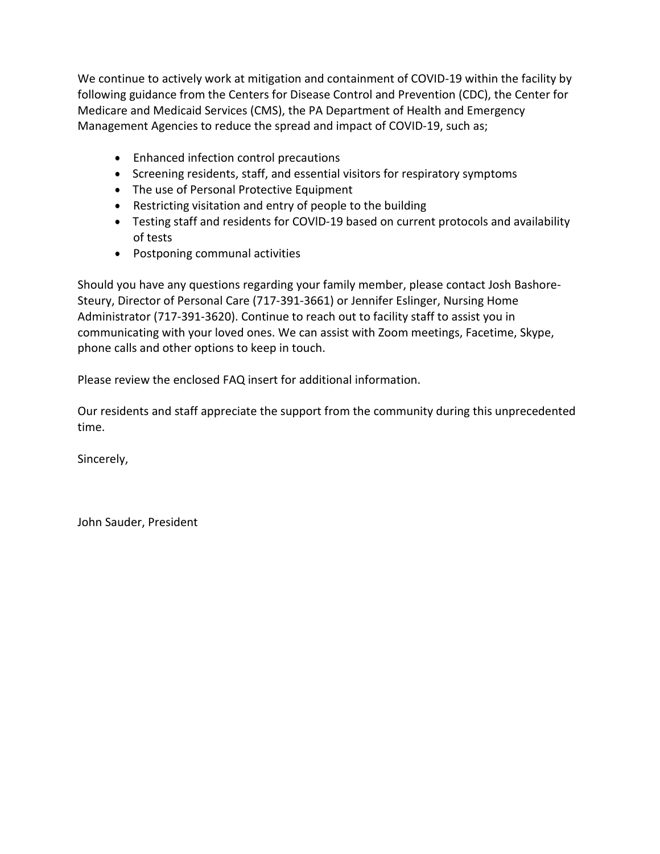We continue to actively work at mitigation and containment of COVID-19 within the facility by following guidance from the Centers for Disease Control and Prevention (CDC), the Center for Medicare and Medicaid Services (CMS), the PA Department of Health and Emergency Management Agencies to reduce the spread and impact of COVID-19, such as;

- Enhanced infection control precautions
- Screening residents, staff, and essential visitors for respiratory symptoms
- The use of Personal Protective Equipment
- Restricting visitation and entry of people to the building
- Testing staff and residents for COVlD-19 based on current protocols and availability of tests
- Postponing communal activities

Should you have any questions regarding your family member, please contact Josh Bashore-Steury, Director of Personal Care (717-391-3661) or Jennifer Eslinger, Nursing Home Administrator (717-391-3620). Continue to reach out to facility staff to assist you in communicating with your loved ones. We can assist with Zoom meetings, Facetime, Skype, phone calls and other options to keep in touch.

Please review the enclosed FAQ insert for additional information.

Our residents and staff appreciate the support from the community during this unprecedented time.

Sincerely,

John Sauder, President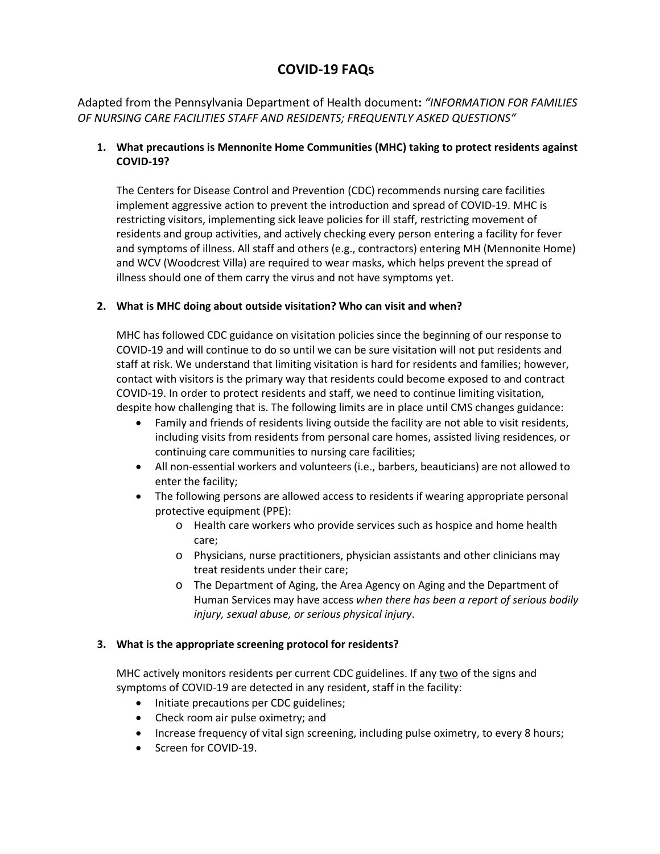# **COVID-19 FAQs**

Adapted from the Pennsylvania Department of Health document**:** *"INFORMATION FOR FAMILIES OF NURSING CARE FACILITIES STAFF AND RESIDENTS; FREQUENTLY ASKED QUESTIONS"*

# **1. What precautions is Mennonite Home Communities (MHC) taking to protect residents against COVID-19?**

The Centers for Disease Control and Prevention (CDC) recommends nursing care facilities implement aggressive action to prevent the introduction and spread of COVID-19. MHC is restricting visitors, implementing sick leave policies for ill staff, restricting movement of residents and group activities, and actively checking every person entering a facility for fever and symptoms of illness. All staff and others (e.g., contractors) entering MH (Mennonite Home) and WCV (Woodcrest Villa) are required to wear masks, which helps prevent the spread of illness should one of them carry the virus and not have symptoms yet.

# **2. What is MHC doing about outside visitation? Who can visit and when?**

MHC has followed CDC guidance on visitation policies since the beginning of our response to COVID-19 and will continue to do so until we can be sure visitation will not put residents and staff at risk. We understand that limiting visitation is hard for residents and families; however, contact with visitors is the primary way that residents could become exposed to and contract COVID-19. In order to protect residents and staff, we need to continue limiting visitation, despite how challenging that is. The following limits are in place until CMS changes guidance:

- Family and friends of residents living outside the facility are not able to visit residents, including visits from residents from personal care homes, assisted living residences, or continuing care communities to nursing care facilities;
- All non-essential workers and volunteers (i.e., barbers, beauticians) are not allowed to enter the facility;
- The following persons are allowed access to residents if wearing appropriate personal protective equipment (PPE):
	- o Health care workers who provide services such as hospice and home health care;
	- o Physicians, nurse practitioners, physician assistants and other clinicians may treat residents under their care;
	- o The Department of Aging, the Area Agency on Aging and the Department of Human Services may have access *when there has been a report of serious bodily injury, sexual abuse, or serious physical injury*.

# **3. What is the appropriate screening protocol for residents?**

MHC actively monitors residents per current CDC guidelines. If any two of the signs and symptoms of COVID-19 are detected in any resident, staff in the facility:

- Initiate precautions per CDC guidelines;
- Check room air pulse oximetry; and
- Increase frequency of vital sign screening, including pulse oximetry, to every 8 hours;
- Screen for COVID-19.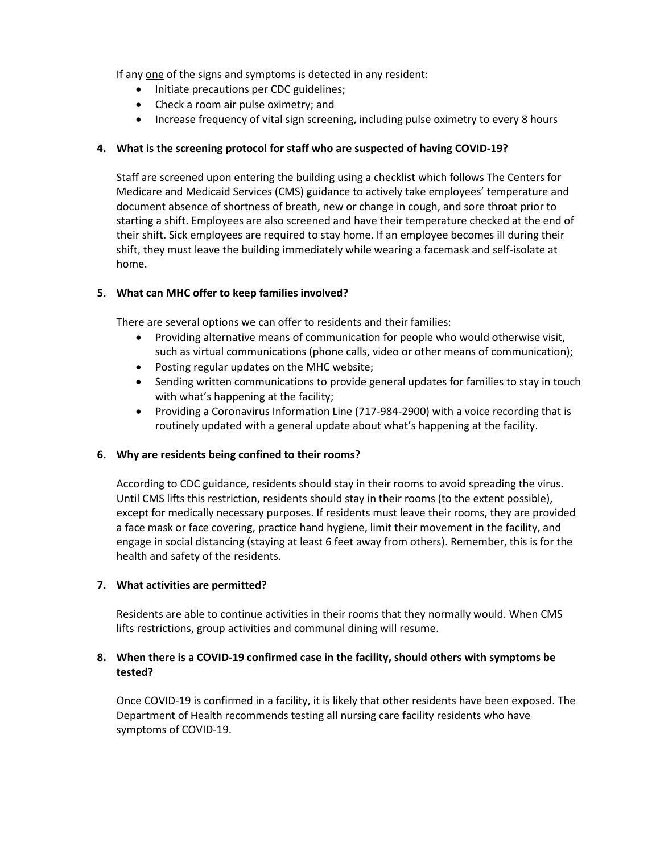If any one of the signs and symptoms is detected in any resident:

- Initiate precautions per CDC guidelines;
- Check a room air pulse oximetry; and
- Increase frequency of vital sign screening, including pulse oximetry to every 8 hours

### **4. What is the screening protocol for staff who are suspected of having COVID-19?**

Staff are screened upon entering the building using a checklist which follows The Centers for Medicare and Medicaid Services (CMS) guidance to actively take employees' temperature and document absence of shortness of breath, new or change in cough, and sore throat prior to starting a shift. Employees are also screened and have their temperature checked at the end of their shift. Sick employees are required to stay home. If an employee becomes ill during their shift, they must leave the building immediately while wearing a facemask and self-isolate at home.

# **5. What can MHC offer to keep families involved?**

There are several options we can offer to residents and their families:

- Providing alternative means of communication for people who would otherwise visit, such as virtual communications (phone calls, video or other means of communication);
- Posting regular updates on the MHC website;
- Sending written communications to provide general updates for families to stay in touch with what's happening at the facility;
- Providing a Coronavirus Information Line (717-984-2900) with a voice recording that is routinely updated with a general update about what's happening at the facility.

#### **6. Why are residents being confined to their rooms?**

According to CDC guidance, residents should stay in their rooms to avoid spreading the virus. Until CMS lifts this restriction, residents should stay in their rooms (to the extent possible), except for medically necessary purposes. If residents must leave their rooms, they are provided a face mask or face covering, practice hand hygiene, limit their movement in the facility, and engage in social distancing (staying at least 6 feet away from others). Remember, this is for the health and safety of the residents.

#### **7. What activities are permitted?**

Residents are able to continue activities in their rooms that they normally would. When CMS lifts restrictions, group activities and communal dining will resume.

# **8. When there is a COVID-19 confirmed case in the facility, should others with symptoms be tested?**

Once COVID-19 is confirmed in a facility, it is likely that other residents have been exposed. The Department of Health recommends testing all nursing care facility residents who have symptoms of COVID-19.